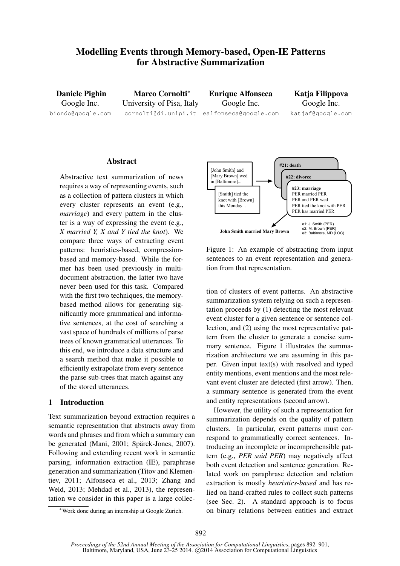# Modelling Events through Memory-based, Open-IE Patterns for Abstractive Summarization

Daniele Pighin Google Inc. biondo@google.com

Marco Cornolti<sup>∗</sup> University of Pisa, Italy cornolti@di.unipi.it ealfonseca@google.com

Enrique Alfonseca Google Inc.

Katia Filippova Google Inc. katjaf@google.com

## Abstract

Abstractive text summarization of news requires a way of representing events, such as a collection of pattern clusters in which every cluster represents an event (e.g., *marriage*) and every pattern in the cluster is a way of expressing the event (e.g., *X married Y, X and Y tied the knot*). We compare three ways of extracting event patterns: heuristics-based, compressionbased and memory-based. While the former has been used previously in multidocument abstraction, the latter two have never been used for this task. Compared with the first two techniques, the memorybased method allows for generating significantly more grammatical and informative sentences, at the cost of searching a vast space of hundreds of millions of parse trees of known grammatical utterances. To this end, we introduce a data structure and a search method that make it possible to efficiently extrapolate from every sentence the parse sub-trees that match against any of the stored utterances.

## 1 Introduction

Text summarization beyond extraction requires a semantic representation that abstracts away from words and phrases and from which a summary can be generated (Mani, 2001; Spärck-Jones, 2007). Following and extending recent work in semantic parsing, information extraction (IE), paraphrase generation and summarization (Titov and Klementiev, 2011; Alfonseca et al., 2013; Zhang and Weld, 2013; Mehdad et al., 2013), the representation we consider in this paper is a large collec-



Figure 1: An example of abstracting from input sentences to an event representation and generation from that representation.

tion of clusters of event patterns. An abstractive summarization system relying on such a representation proceeds by (1) detecting the most relevant event cluster for a given sentence or sentence collection, and (2) using the most representative pattern from the cluster to generate a concise summary sentence. Figure 1 illustrates the summarization architecture we are assuming in this paper. Given input text(s) with resolved and typed entity mentions, event mentions and the most relevant event cluster are detected (first arrow). Then, a summary sentence is generated from the event and entity representations (second arrow).

However, the utility of such a representation for summarization depends on the quality of pattern clusters. In particular, event patterns must correspond to grammatically correct sentences. Introducing an incomplete or incomprehensible pattern (e.g., *PER said PER*) may negatively affect both event detection and sentence generation. Related work on paraphrase detection and relation extraction is mostly *heuristics-based* and has relied on hand-crafted rules to collect such patterns (see Sec. 2). A standard approach is to focus on binary relations between entities and extract

<sup>∗</sup>Work done during an internship at Google Zurich.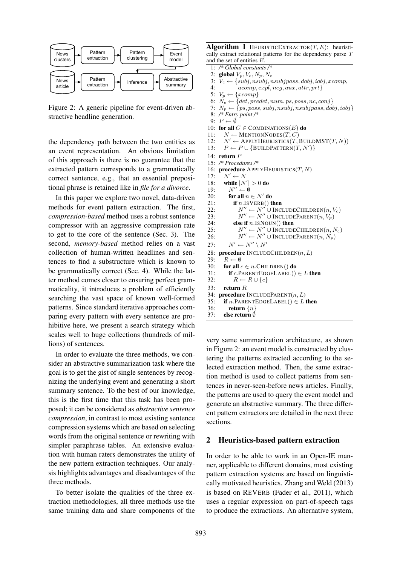

Figure 2: A generic pipeline for event-driven abstractive headline generation.

the dependency path between the two entities as an event representation. An obvious limitation of this approach is there is no guarantee that the extracted pattern corresponds to a grammatically correct sentence, e.g., that an essential prepositional phrase is retained like in *file for a divorce*.

In this paper we explore two novel, data-driven methods for event pattern extraction. The first, *compression-based* method uses a robust sentence compressor with an aggressive compression rate to get to the core of the sentence (Sec. 3). The second, *memory-based* method relies on a vast collection of human-written headlines and sentences to find a substructure which is known to be grammatically correct (Sec. 4). While the latter method comes closer to ensuring perfect grammaticality, it introduces a problem of efficiently searching the vast space of known well-formed patterns. Since standard iterative approaches comparing every pattern with every sentence are prohibitive here, we present a search strategy which scales well to huge collections (hundreds of millions) of sentences.

In order to evaluate the three methods, we consider an abstractive summarization task where the goal is to get the gist of single sentences by recognizing the underlying event and generating a short summary sentence. To the best of our knowledge, this is the first time that this task has been proposed; it can be considered as *abstractive sentence compression*, in contrast to most existing sentence compression systems which are based on selecting words from the original sentence or rewriting with simpler paraphrase tables. An extensive evaluation with human raters demonstrates the utility of the new pattern extraction techniques. Our analysis highlights advantages and disadvantages of the three methods.

To better isolate the qualities of the three extraction methodologies, all three methods use the same training data and share components of the

**Algorithm 1** HEURISTICEXTRACTOR $(T, E)$ : heuristically extract relational patterns for the dependency parse T and the set of entities E.

- 1: */\* Global constants /\** 2: global  $V_p, V_c, N_p, N_c$ <br>3:  $V_c \leftarrow \{subj, nsubj, n$ 3:  $V_c \leftarrow \{subj, nsubj, nsubjpass, dobj, iobj, xcomp, 4: acomm expl, neq, aux attr mrt \}$ 4:  $acomp, expl, neg, aux, attr, prt$ <br>5:  $V_n \leftarrow \{xcomp\}$  $V_p \leftarrow \{xcomp\}$ 6:  $N_c \leftarrow \{det, predet, num, ps, poss, nc, conj\}$ 7:  $N_p \leftarrow \{ps, poss, subj, nsubj, nsubjpass, dobj, iobj\}$ 8: */\* Entry point /\** 9:  $P \leftarrow \emptyset$ 10: for all  $C \in \text{COMBINATIONS}(E)$  do 11:  $N \leftarrow \text{MENTIONNODES}(T, C)$  $12:$  $N' \leftarrow$  APPLYHEURISTICS $(T, B$ UILDMST $(T, N))$ 13:  $P \leftarrow P \cup \{ \text{BULDPATHERN}(T, N') \}$ 14: return P 15: */\* Procedures /\** 16: procedure APPLYHEURISTICS $(T, N)$  $17.$  $N' \leftarrow N$ 18: while  $|N'| > 0$  do  $\frac{19}{20}$ :  $N'' - \phi$ 20: for all  $n \in N'$  do 21: if  $n.ISVERB()$  then  $22.$  $\theta'' \leftarrow N'' \cup \text{IncludeChildrem}(n, V_c)$  $23:$  $\theta'' \leftarrow N'' \cup \text{INCLUDEPARENT}(n, V_p)$ 24: **else if**  $n$ . ISNOUN() **then**  $25:$  $\theta'' \leftarrow N'' \cup \text{INCLUDECHILDREN}(n, N_c)$  $26.$  $\mathcal{O}'' \leftarrow N'' \cup \text{INCLUDEPARENT}(n, N_p)$  $27:$  $0' \leftarrow N'' \setminus N'$ 28: **procedure** INCLUDECHILDREN $(n, L)$ <br>29:  $R \leftarrow \emptyset$  $R \leftarrow \emptyset$ 30: for all  $c \in n$ . CHILDREN() do 31: if c.PARENTEDGELABEL()  $\in$  L then 32:  $R \leftarrow R \cup \{c\}$
- 33: return R
- 
- 34: procedure  $INCLUDEPARENT(n, L)$ 35: if *n*.PARENTEDGELABEL()  $\in$  L then
- 
- 36: return  $\{n\}$ 37: else return ∅

very same summarization architecture, as shown in Figure 2: an event model is constructed by clustering the patterns extracted according to the selected extraction method. Then, the same extraction method is used to collect patterns from sentences in never-seen-before news articles. Finally, the patterns are used to query the event model and generate an abstractive summary. The three different pattern extractors are detailed in the next three sections.

#### 2 Heuristics-based pattern extraction

In order to be able to work in an Open-IE manner, applicable to different domains, most existing pattern extraction systems are based on linguistically motivated heuristics. Zhang and Weld (2013) is based on REVERB (Fader et al., 2011), which uses a regular expression on part-of-speech tags to produce the extractions. An alternative system,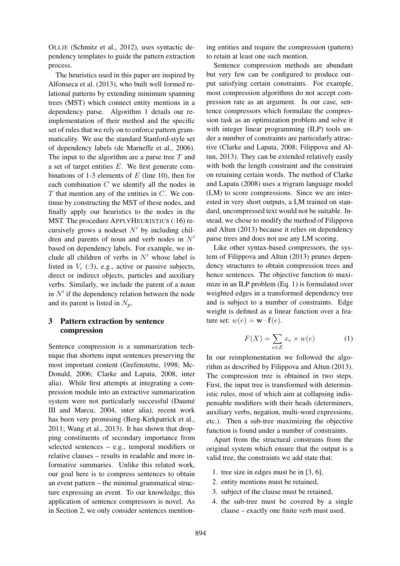OLLIE (Schmitz et al., 2012), uses syntactic dependency templates to guide the pattern extraction process.

The heuristics used in this paper are inspired by Alfonseca et al. (2013), who built well formed relational patterns by extending minimum spanning trees (MST) which connect entity mentions in a dependency parse. Algorithm 1 details our reimplementation of their method and the specific set of rules that we rely on to enforce pattern grammaticality. We use the standard Stanford-style set of dependency labels (de Marneffe et al., 2006). The input to the algorithm are a parse tree  $T$  and a set of target entities  $E$ . We first generate combinations of 1-3 elements of  $E$  (line 10), then for each combination C we identify all the nodes in  $T$  that mention any of the entities in  $C$ . We continue by constructing the MST of these nodes, and finally apply our heuristics to the nodes in the MST. The procedure APPLYHEURISTICS (:16) recursively grows a nodeset  $N'$  by including children and parents of noun and verb nodes in  $N'$ based on dependency labels. For example, we include all children of verbs in  $N'$  whose label is listed in  $V_c$  (:3), e.g., active or passive subjects, direct or indirect objects, particles and auxiliary verbs. Similarly, we include the parent of a noun in  $N'$  if the dependency relation between the node and its parent is listed in  $N_p$ .

# 3 Pattern extraction by sentence compression

Sentence compression is a summarization technique that shortens input sentences preserving the most important content (Grefenstette, 1998; Mc-Donald, 2006; Clarke and Lapata, 2008, inter alia). While first attempts at integrating a compression module into an extractive summarization system were not particularly successful (Daumé III and Marcu, 2004, inter alia), recent work has been very promising (Berg-Kirkpatrick et al., 2011; Wang et al., 2013). It has shown that dropping constituents of secondary importance from selected sentences – e.g., temporal modifiers or relative clauses – results in readable and more informative summaries. Unlike this related work, our goal here is to compress sentences to obtain an event pattern – the minimal grammatical structure expressing an event. To our knowledge, this application of sentence compressors is novel. As in Section 2, we only consider sentences mention-

ing entities and require the compression (pattern) to retain at least one such mention.

Sentence compression methods are abundant but very few can be configured to produce output satisfying certain constraints. For example, most compression algorithms do not accept compression rate as an argument. In our case, sentence compressors which formulate the compression task as an optimization problem and solve it with integer linear programming (ILP) tools under a number of constraints are particularly attractive (Clarke and Lapata, 2008; Filippova and Altun, 2013). They can be extended relatively easily with both the length constraint and the constraint on retaining certain words. The method of Clarke and Lapata (2008) uses a trigram language model (LM) to score compressions. Since we are interested in very short outputs, a LM trained on standard, uncompressed text would not be suitable. Instead, we chose to modify the method of Filippova and Altun (2013) because it relies on dependency parse trees and does not use any LM scoring.

Like other syntax-based compressors, the system of Filippova and Altun (2013) prunes dependency structures to obtain compression trees and hence sentences. The objective function to maximize in an ILP problem (Eq. 1) is formulated over weighted edges in a transformed dependency tree and is subject to a number of constraints. Edge weight is defined as a linear function over a feature set:  $w(e) = \mathbf{w} \cdot \mathbf{f}(e)$ .

$$
F(X) = \sum_{e \in E} x_e \times w(e) \tag{1}
$$

In our reimplementation we followed the algorithm as described by Filippova and Altun (2013). The compression tree is obtained in two steps. First, the input tree is transformed with deterministic rules, most of which aim at collapsing indispensable modifiers with their heads (determiners, auxiliary verbs, negation, multi-word expressions, etc.). Then a sub-tree maximizing the objective function is found under a number of constraints.

Apart from the structural constrains from the original system which ensure that the output is a valid tree, the constraints we add state that:

- 1. tree size in edges must be in [3, 6],
- 2. entity mentions must be retained,
- 3. subject of the clause must be retained,
- 4. the sub-tree must be covered by a single clause – exactly one finite verb must used.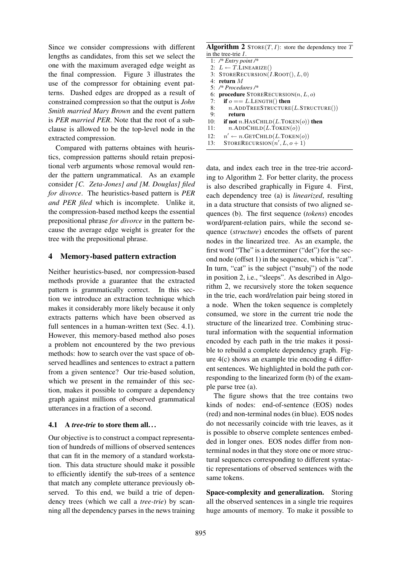Since we consider compressions with different lengths as candidates, from this set we select the one with the maximum averaged edge weight as the final compression. Figure 3 illustrates the use of the compressor for obtaining event patterns. Dashed edges are dropped as a result of constrained compression so that the output is *John Smith married Mary Brown* and the event pattern is *PER married PER*. Note that the root of a subclause is allowed to be the top-level node in the extracted compression.

Compared with patterns obtaines with heuristics, compression patterns should retain prepositional verb arguments whose removal would render the pattern ungrammatical. As an example consider *[C. Zeta-Jones] and [M. Douglas] filed for divorce*. The heuristics-based pattern is *PER and PER filed* which is incomplete. Unlike it, the compression-based method keeps the essential prepositional phrase *for divorce* in the pattern because the average edge weight is greater for the tree with the prepositional phrase.

# 4 Memory-based pattern extraction

Neither heuristics-based, nor compression-based methods provide a guarantee that the extracted pattern is grammatically correct. In this section we introduce an extraction technique which makes it considerably more likely because it only extracts patterns which have been observed as full sentences in a human-written text (Sec. 4.1). However, this memory-based method also poses a problem not encountered by the two previous methods: how to search over the vast space of observed headlines and sentences to extract a pattern from a given sentence? Our trie-based solution, which we present in the remainder of this section, makes it possible to compare a dependency graph against millions of observed grammatical utterances in a fraction of a second.

#### 4.1 A *tree-trie* to store them all. . .

Our objective is to construct a compact representation of hundreds of millions of observed sentences that can fit in the memory of a standard workstation. This data structure should make it possible to efficiently identify the sub-trees of a sentence that match any complete utterance previously observed. To this end, we build a trie of dependency trees (which we call a *tree-trie*) by scanning all the dependency parses in the news training

| <b>Algorithm 2</b> STORE $(T, I)$ : store the dependency tree T |  |
|-----------------------------------------------------------------|--|
| in the tree-trie $I$ .                                          |  |
|                                                                 |  |

|     | 1: $/*$ Entry point /*                           |
|-----|--------------------------------------------------|
|     | 2: $L \leftarrow T$ .LINEARIZE()                 |
|     | 3: STORERECURSION( $I$ .ROOT(), $L$ , 0)         |
|     | 4: return $M$                                    |
|     | 5: $/*$ Procedures /*                            |
|     | 6: <b>procedure</b> STORERECURSION $(n, L, o)$   |
| 7:  | if $o == L$ . LENGTH() then                      |
| 8:  | $n$ .ADDTREESTRUCTURE(L.STRUCTURE())             |
| 9:  | return                                           |
| 10: | if not n.HASCHILD $(L.T$ OKEN $(o)$ ) then       |
| 11: | $n$ .ADDCHILD $(L$ TOKEN $(o)$                   |
| 12: | $n' \leftarrow n$ .GETCHILD(L.TOKEN( <i>o</i> )) |
| 13: | STORERECURSION $(n', L, o + 1)$                  |

data, and index each tree in the tree-trie according to Algorithm 2. For better clarity, the process is also described graphically in Figure 4. First, each dependency tree (a) is *linearized*, resulting in a data structure that consists of two aligned sequences (b). The first sequence (*tokens*) encodes word/parent-relation pairs, while the second sequence (*structure*) encodes the offsets of parent nodes in the linearized tree. As an example, the first word "The" is a determiner ("det") for the second node (offset 1) in the sequence, which is "cat". In turn, "cat" is the subject ("nsubj") of the node in position 2, i.e., "sleeps". As described in Algorithm 2, we recursively store the token sequence in the trie, each word/relation pair being stored in a node. When the token sequence is completely consumed, we store in the current trie node the structure of the linearized tree. Combining structural information with the sequential information encoded by each path in the trie makes it possible to rebuild a complete dependency graph. Figure 4(c) shows an example trie encoding 4 different sentences. We highlighted in bold the path corresponding to the linearized form (b) of the example parse tree (a).

The figure shows that the tree contains two kinds of nodes: end-of-sentence (EOS) nodes (red) and non-terminal nodes (in blue). EOS nodes do not necessarily coincide with trie leaves, as it is possible to observe complete sentences embedded in longer ones. EOS nodes differ from nonterminal nodes in that they store one or more structural sequences corresponding to different syntactic representations of observed sentences with the same tokens.

Space-complexity and generalization. Storing all the observed sentences in a single trie requires huge amounts of memory. To make it possible to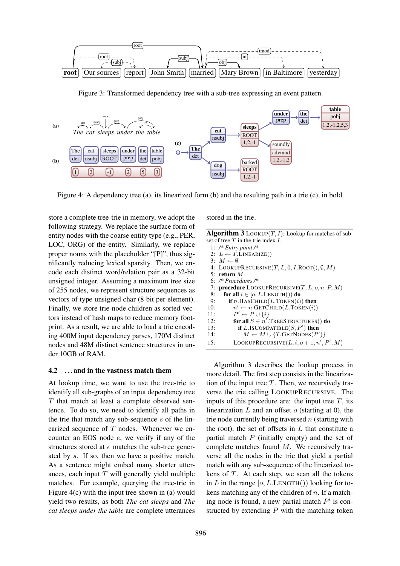

Figure 3: Transformed dependency tree with a sub-tree expressing an event pattern.



Figure 4: A dependency tree (a), its linearized form (b) and the resulting path in a trie (c), in bold.

store a complete tree-trie in memory, we adopt the following strategy. We replace the surface form of entity nodes with the coarse entity type (e.g., PER, LOC, ORG) of the entity. Similarly, we replace proper nouns with the placeholder "[P]", thus significantly reducing lexical sparsity. Then, we encode each distinct word/relation pair as a 32-bit unsigned integer. Assuming a maximum tree size of 255 nodes, we represent structure sequences as vectors of type unsigned char (8 bit per element). Finally, we store trie-node children as sorted vectors instead of hash maps to reduce memory footprint. As a result, we are able to load a trie encoding 400M input dependency parses, 170M distinct nodes and 48M distinct sentence structures in under 10GB of RAM.

#### 4.2 . . . and in the vastness match them

At lookup time, we want to use the tree-trie to identify all sub-graphs of an input dependency tree T that match at least a complete observed sentence. To do so, we need to identify all paths in the trie that match any sub-sequence  $s$  of the linearized sequence of  $T$  nodes. Whenever we encounter an EOS node e, we verify if any of the structures stored at e matches the sub-tree generated by s. If so, then we have a positive match. As a sentence might embed many shorter utterances, each input  $T$  will generally yield multiple matches. For example, querying the tree-trie in Figure 4(c) with the input tree shown in (a) would yield two results, as both *The cat sleeps* and *The cat sleeps under the table* are complete utterances stored in the trie.

| <b>Algorithm 3</b> LOOKUP $(T, I)$ : Lookup for matches of sub-       |
|-----------------------------------------------------------------------|
| set of tree $T$ in the trie index $I$ .                               |
| 1. $\sqrt{k}$ $\Gamma_{\text{rel}}$ , $\sim$ $\sim$ $\sim$ $\sqrt{k}$ |

|     | 1: /* Entry point /*                                       |
|-----|------------------------------------------------------------|
|     | 2: $L \leftarrow T$ .LINEARIZE()                           |
|     | 3: $M \leftarrow \emptyset$                                |
|     | 4: LOOKUPRECURSIVE $(T, L, 0, I$ .ROOT $(), \emptyset, M)$ |
|     | 5: return $M$                                              |
|     | 6: $/*$ Procedures /*                                      |
|     | 7: <b>procedure</b> LOOKUPRECURSIVE $(T, L, o, n, P, M)$   |
| 8:  | for all $i \in [o, L$ . LENGTH()) do                       |
| 9:  | if n.HASCHILD $(L.T$ OKEN $(i))$ then                      |
| 10: | $n' \leftarrow n$ .GETCHILD(L.TOKEN(i))                    |
| 11: | $P' \leftarrow P \cup \{i\}$                               |
| 12: | for all $S \in n'$ . TREESTRUCTURES() do                   |
| 13: | if $L$ . ISCOMPATIBLE $(S, P')$ then                       |
| 14: | $M \leftarrow M \cup \{T.\text{GETNODES}(P')\}$            |
| 15: | LOOKUPRECURSIVE $(L, i, o+1, n', P', M)$                   |

Algorithm 3 describes the lookup process in more detail. The first step consists in the linearization of the input tree  $T$ . Then, we recursively traverse the trie calling LOOKUPRECURSIVE. The inputs of this procedure are: the input tree  $T$ , its linearization  $L$  and an offset  $o$  (starting at 0), the trie node currently being traversed  $n$  (starting with the root), the set of offsets in  $L$  that constitute a partial match  $P$  (initially empty) and the set of complete matches found M. We recursively traverse all the nodes in the trie that yield a partial match with any sub-sequence of the linearized tokens of  $T$ . At each step, we scan all the tokens in L in the range  $[0, L.LENGTH() )$  looking for tokens matching any of the children of  $n$ . If a matching node is found, a new partial match  $P'$  is constructed by extending  $P$  with the matching token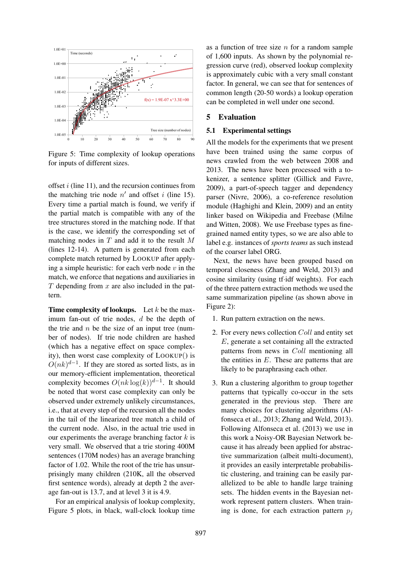

Figure 5: Time complexity of lookup operations for inputs of different sizes.

offset  $i$  (line 11), and the recursion continues from the matching trie node  $n'$  and offset i (line 15). Every time a partial match is found, we verify if the partial match is compatible with any of the tree structures stored in the matching node. If that is the case, we identify the corresponding set of matching nodes in  $T$  and add it to the result  $M$ (lines 12-14). A pattern is generated from each complete match returned by LOOKUP after applying a simple heuristic: for each verb node  $v$  in the match, we enforce that negations and auxiliaries in  $T$  depending from  $x$  are also included in the pattern.

**Time complexity of lookups.** Let  $k$  be the maximum fan-out of trie nodes, d be the depth of the trie and  $n$  be the size of an input tree (number of nodes). If trie node children are hashed (which has a negative effect on space complexity), then worst case complexity of LOOKUP() is  $O(nk)^{d-1}$ . If they are stored as sorted lists, as in our memory-efficient implementation, theoretical complexity becomes  $O(nk \log(k))^{d-1}$ . It should be noted that worst case complexity can only be observed under extremely unlikely circumstances, i.e., that at every step of the recursion all the nodes in the tail of the linearized tree match a child of the current node. Also, in the actual trie used in our experiments the average branching factor  $k$  is very small. We observed that a trie storing 400M sentences (170M nodes) has an average branching factor of 1.02. While the root of the trie has unsurprisingly many children (210K, all the observed first sentence words), already at depth 2 the average fan-out is 13.7, and at level 3 it is 4.9.

For an empirical analysis of lookup complexity, Figure 5 plots, in black, wall-clock lookup time as a function of tree size  $n$  for a random sample of 1,600 inputs. As shown by the polynomial regression curve (red), observed lookup complexity is approximately cubic with a very small constant factor. In general, we can see that for sentences of common length (20-50 words) a lookup operation can be completed in well under one second.

#### 5 Evaluation

### 5.1 Experimental settings

All the models for the experiments that we present have been trained using the same corpus of news crawled from the web between 2008 and 2013. The news have been processed with a tokenizer, a sentence splitter (Gillick and Favre, 2009), a part-of-speech tagger and dependency parser (Nivre, 2006), a co-reference resolution module (Haghighi and Klein, 2009) and an entity linker based on Wikipedia and Freebase (Milne and Witten, 2008). We use Freebase types as finegrained named entity types, so we are also able to label e.g. instances of *sports teams* as such instead of the coarser label ORG.

Next, the news have been grouped based on temporal closeness (Zhang and Weld, 2013) and cosine similarity (using tf·idf weights). For each of the three pattern extraction methods we used the same summarization pipeline (as shown above in Figure 2):

- 1. Run pattern extraction on the news.
- 2. For every news collection Coll and entity set E, generate a set containing all the extracted patterns from news in Coll mentioning all the entities in  $E$ . These are patterns that are likely to be paraphrasing each other.
- 3. Run a clustering algorithm to group together patterns that typically co-occur in the sets generated in the previous step. There are many choices for clustering algorithms (Alfonseca et al., 2013; Zhang and Weld, 2013). Following Alfonseca et al. (2013) we use in this work a Noisy-OR Bayesian Network because it has already been applied for abstractive summarization (albeit multi-document), it provides an easily interpretable probabilistic clustering, and training can be easily parallelized to be able to handle large training sets. The hidden events in the Bayesian network represent pattern clusters. When training is done, for each extraction pattern  $p_i$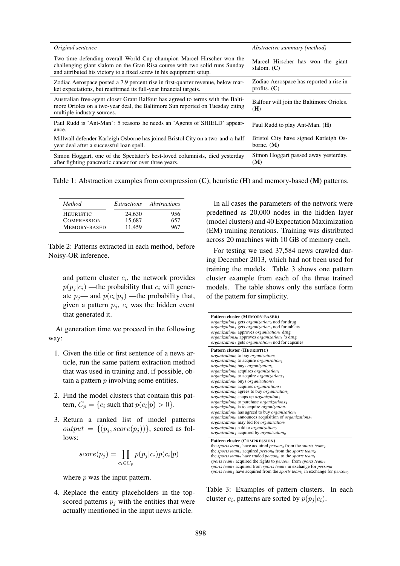| Original sentence                                                                                                                                                                                                           | Abstractive summary (method)                              |
|-----------------------------------------------------------------------------------------------------------------------------------------------------------------------------------------------------------------------------|-----------------------------------------------------------|
| Two-time defending overall World Cup champion Marcel Hirscher won the<br>challenging giant slalom on the Gran Risa course with two solid runs Sunday<br>and attributed his victory to a fixed screw in his equipment setup. | Marcel Hirscher has won the giant<br>slalom. $(C)$        |
| Zodiac Aerospace posted a 7.9 percent rise in first-quarter revenue, below mar-<br>ket expectations, but reaffirmed its full-year financial targets.                                                                        | Zodiac Aerospace has reported a rise in<br>profits. $(C)$ |
| Australian free-agent closer Grant Balfour has agreed to terms with the Balti-<br>more Orioles on a two-year deal, the Baltimore Sun reported on Tuesday citing<br>multiple industry sources.                               | Balfour will join the Baltimore Orioles.<br>(H)           |
| Paul Rudd is 'Ant-Man': 5 reasons he needs an 'Agents of SHIELD' appear-<br>ance.                                                                                                                                           | Paul Rudd to play Ant-Man. $(H)$                          |
| Millwall defender Karleigh Osborne has joined Bristol City on a two-and-a-half<br>year deal after a successful loan spell.                                                                                                  | Bristol City have signed Karleigh Os-<br>borne. $(M)$     |
| Simon Hoggart, one of the Spectator's best-loved columnists, died yesterday<br>after fighting pancreatic cancer for over three years.                                                                                       | Simon Hoggart passed away yesterday.<br>(M)               |

Table 1: Abstraction examples from compression (C), heuristic (H) and memory-based (M) patterns.

| Method              | Extractions | Abstractions |
|---------------------|-------------|--------------|
| <b>HEURISTIC</b>    | 24,630      | 956          |
| <b>COMPRESSION</b>  | 15.687      | 657          |
| <b>MEMORY-BASED</b> | 11.459      | 967          |

Table 2: Patterns extracted in each method, before Noisy-OR inference.

and pattern cluster  $c_i$ , the network provides  $p(p_i | c_i)$  —the probability that  $c_i$  will generate  $p_j$ — and  $p(c_i|p_j)$  —the probability that, given a pattern  $p_i$ ,  $c_i$  was the hidden event that generated it.

At generation time we proceed in the following way:

- 1. Given the title or first sentence of a news article, run the same pattern extraction method that was used in training and, if possible, obtain a pattern  $p$  involving some entities.
- 2. Find the model clusters that contain this pattern,  $C_p = \{c_i \text{ such that } p(c_i|p) > 0\}.$
- 3. Return a ranked list of model patterns  $output = \{(p_j, score(p_j))\}$ , scored as follows:

$$
score(p_j) = \prod_{c_i \in C_p} p(p_j|c_i)p(c_i|p)
$$

where  $p$  was the input pattern.

4. Replace the entity placeholders in the topscored patterns  $p_i$  with the entities that were actually mentioned in the input news article.

In all cases the parameters of the network were predefined as 20,000 nodes in the hidden layer (model clusters) and 40 Expectation Maximization (EM) training iterations. Training was distributed across 20 machines with 10 GB of memory each.

For testing we used 37,584 news crawled during December 2013, which had not been used for training the models. Table 3 shows one pattern cluster example from each of the three trained models. The table shows only the surface form of the pattern for simplicity.

| Pattern cluster (MEMORY-BASED)<br><i>organization</i> <sub>1</sub> gets <i>organization</i> <sup>0</sup> nod for drug<br>organization <sub>1</sub> gets organization <sub>0</sub> nod for tablets                                                                                                                                                                                                                                                                                                                                                                                                                                                                                                                                                                                                                                                                                                                                                                                                                                                                                                                                                            |
|--------------------------------------------------------------------------------------------------------------------------------------------------------------------------------------------------------------------------------------------------------------------------------------------------------------------------------------------------------------------------------------------------------------------------------------------------------------------------------------------------------------------------------------------------------------------------------------------------------------------------------------------------------------------------------------------------------------------------------------------------------------------------------------------------------------------------------------------------------------------------------------------------------------------------------------------------------------------------------------------------------------------------------------------------------------------------------------------------------------------------------------------------------------|
| $organization_0$ approves <i>organization</i> <sup>1</sup> drug<br><i>organizations</i> <sup>0</sup> approves <i>organization</i> <sup>1</sup> 's drug<br><i>organization</i> gets <i>organization</i> <sup>0</sup> nod for capsules                                                                                                                                                                                                                                                                                                                                                                                                                                                                                                                                                                                                                                                                                                                                                                                                                                                                                                                         |
| Pattern cluster (HEURISTIC)<br>$organization_0$ to buy organization <sub>1</sub><br><i>organization</i> <sup>0</sup> to acquire <i>organization</i> <sup>1</sup><br>$organization0$ buys organization<br>$organization_0$ acquires <i>organization</i> <sup>1</sup><br>$organization_0$ to acquire <i>organizations</i> <sup>1</sup><br>$organization_0$ buys organizations <sub>1</sub><br><i>organization</i> <sup>0</sup> acquires <i>organizations</i> <sup>1</sup><br><i>organization</i> <sup>0</sup> agrees to buy <i>organization</i> <sup>1</sup><br>$organization_0$ snaps up organization <sub>1</sub><br><i>organization</i> <sup>0</sup> to purchase <i>organizations</i> <sup>1</sup><br><i>organization</i> <sup>0</sup> is to acquire <i>organization</i> <sup>1</sup><br><i>organization</i> <sup>0</sup> has agreed to buy <i>organization</i> <sup>1</sup><br>$organization_0$ announces acquisition of $organisation_1$<br><i>organization</i> <sup>0</sup> may bid for <i>organization</i> <sup>1</sup><br>$organization1$ sold to <i>organization</i> <sub>0</sub><br><i>organization</i> acquired by <i>organization</i> <sup>0</sup> |
| Pattern cluster (COMPRESSION)<br>the <i>sports team</i> <sub>1</sub> have acquired <i>person</i> <sup>0</sup> from the <i>sports team</i> <sub>2</sub><br>the <i>sports team</i> acquired <i>person</i> <sup>0</sup> from the <i>sports team</i> <sup>2</sup><br>the sports team <sub>2</sub> have traded person <sub>0</sub> to the sports team <sub>1</sub><br>sports team <sub>1</sub> acquired the rights to person <sub>0</sub> from sports team <sub>2</sub><br>sports team <sub>2</sub> acquired from sports team <sub>1</sub> in exchange for person <sub>0</sub><br>sports team <sub>2</sub> have acquired from the sports team <sub>1</sub> in exchange for person <sub>0</sub>                                                                                                                                                                                                                                                                                                                                                                                                                                                                    |

Table 3: Examples of pattern clusters. In each cluster  $c_i$ , patterns are sorted by  $p(p_j|c_i)$ .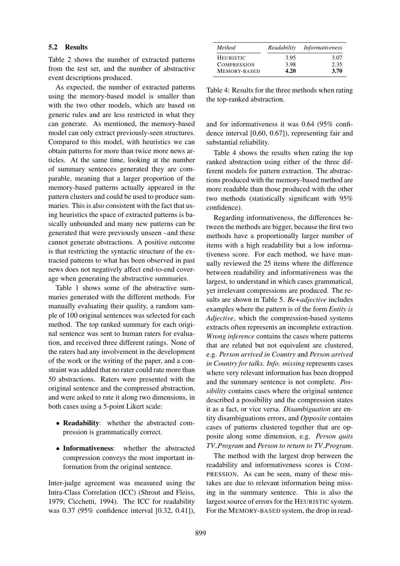#### 5.2 Results

Table 2 shows the number of extracted patterns from the test set, and the number of abstractive event descriptions produced.

As expected, the number of extracted patterns using the memory-based model is smaller than with the two other models, which are based on generic rules and are less restricted in what they can generate. As mentioned, the memory-based model can only extract previously-seen structures. Compared to this model, with heuristics we can obtain patterns for more than twice more news articles. At the same time, looking at the number of summary sentences generated they are comparable, meaning that a larger proportion of the memory-based patterns actually appeared in the pattern clusters and could be used to produce summaries. This is also consistent with the fact that using heuristics the space of extracted patterns is basically unbounded and many new patterns can be generated that were previously unseen –and these cannot generate abstractions. A positive outcome is that restricting the syntactic structure of the extracted patterns to what has been observed in past news does not negatively affect end-to-end coverage when generating the abstractive summaries.

Table 1 shows some of the abstractive summaries generated with the different methods. For manually evaluating their quality, a random sample of 100 original sentences was selected for each method. The top ranked summary for each original sentence was sent to human raters for evaluation, and received three different ratings. None of the raters had any involvement in the development of the work or the writing of the paper, and a constraint was added that no rater could rate more than 50 abstractions. Raters were presented with the original sentence and the compressed abstraction, and were asked to rate it along two dimensions, in both cases using a 5-point Likert scale:

- Readability: whether the abstracted compression is grammatically correct.
- Informativeness: whether the abstracted compression conveys the most important information from the original sentence.

Inter-judge agreement was measured using the Intra-Class Correlation (ICC) (Shrout and Fleiss, 1979; Cicchetti, 1994). The ICC for readability was 0.37 (95% confidence interval [0.32, 0.41]),

| <b>Method</b>      | Readability | Informativeness |
|--------------------|-------------|-----------------|
| <b>HEURISTIC</b>   | 3.95        | 3.07            |
| <b>COMPRESSION</b> | 3.98        | 2.35            |
| MEMORY-BASED       | 4.20        | 3.70            |

Table 4: Results for the three methods when rating the top-ranked abstraction.

and for informativeness it was 0.64 (95% confidence interval [0,60, 0.67]), representing fair and substantial reliability.

Table 4 shows the results when rating the top ranked abstraction using either of the three different models for pattern extraction. The abstractions produced with the memory-based method are more readable than those produced with the other two methods (statistically significant with 95% confidence).

Regarding informativeness, the differences between the methods are bigger, because the first two methods have a proportionally larger number of items with a high readability but a low informativeness score. For each method, we have manually reviewed the 25 items where the difference between readability and informativeness was the largest, to understand in which cases grammatical, yet irrelevant compressions are produced. The results are shown in Table 5. *Be+adjective* includes examples where the pattern is of the form *Entity is Adjective*, which the compression-based systems extracts often represents an incomplete extraction. *Wrong inference* contains the cases where patterns that are related but not equivalent are clustered, e.g. *Person arrived in Country* and *Person arrived in Country for talks*. *Info. missing* represents cases where very relevant information has been dropped and the summary sentence is not complete. *Possibility* contains cases where the original sentence described a possibility and the compression states it as a fact, or vice versa. *Disambiguation* are entity disambiguations errors, and *Opposite* contains cases of patterns clustered together that are opposite along some dimension, e.g. *Person quits TV Program* and *Person to return to TV Program*.

The method with the largest drop between the readability and informativeness scores is COM-PRESSION. As can be seen, many of these mistakes are due to relevant information being missing in the summary sentence. This is also the largest source of errors for the HEURISTIC system. For the MEMORY-BASED system, the drop in read-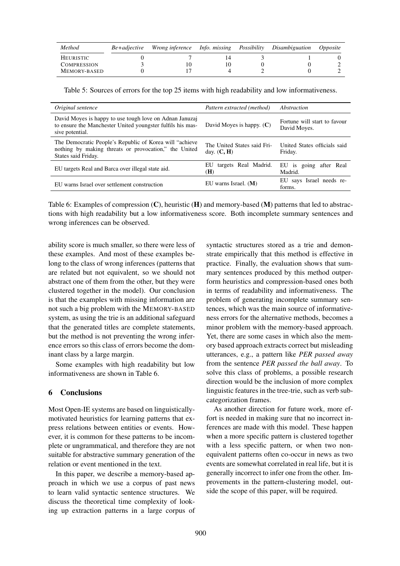| Method             | Be+adjective | Wrong inference Info. missing Possibility |  | Disambiguation | <i>Opposite</i> |
|--------------------|--------------|-------------------------------------------|--|----------------|-----------------|
| HEURISTIC          |              |                                           |  |                |                 |
| <b>COMPRESSION</b> |              | 10                                        |  |                |                 |
| MEMORY-BASED       |              |                                           |  |                |                 |

Table 5: Sources of errors for the top 25 items with high readability and low informativeness.

| Original sentence                                                                                                                        | Pattern extracted (method)                   | Abstraction                                  |
|------------------------------------------------------------------------------------------------------------------------------------------|----------------------------------------------|----------------------------------------------|
| David Moyes is happy to use tough love on Adnan Januzaj<br>to ensure the Manchester United youngster fulfils his mas-<br>sive potential. | David Moyes is happy. $(C)$                  | Fortune will start to favour<br>David Moyes. |
| The Democratic People's Republic of Korea will "achieve"<br>nothing by making threats or provocation," the United<br>States said Friday. | The United States said Fri-<br>day. $(C, H)$ | United States officials said<br>Friday.      |
| EU targets Real and Barca over illegal state aid.                                                                                        | targets Real Madrid.<br>EU<br>(H)            | EU is going after Real<br>Madrid.            |
| EU warns Israel over settlement construction                                                                                             | EU warns Israel. $(M)$                       | EU says Israel needs re-<br>forms.           |

Table 6: Examples of compression  $(C)$ , heuristic  $(H)$  and memory-based  $(M)$  patterns that led to abstractions with high readability but a low informativeness score. Both incomplete summary sentences and wrong inferences can be observed.

ability score is much smaller, so there were less of these examples. And most of these examples belong to the class of wrong inferences (patterns that are related but not equivalent, so we should not abstract one of them from the other, but they were clustered together in the model). Our conclusion is that the examples with missing information are not such a big problem with the MEMORY-BASED system, as using the trie is an additional safeguard that the generated titles are complete statements, but the method is not preventing the wrong inference errors so this class of errors become the dominant class by a large margin.

Some examples with high readability but low informativeness are shown in Table 6.

# 6 Conclusions

Most Open-IE systems are based on linguisticallymotivated heuristics for learning patterns that express relations between entities or events. However, it is common for these patterns to be incomplete or ungrammatical, and therefore they are not suitable for abstractive summary generation of the relation or event mentioned in the text.

In this paper, we describe a memory-based approach in which we use a corpus of past news to learn valid syntactic sentence structures. We discuss the theoretical time complexity of looking up extraction patterns in a large corpus of syntactic structures stored as a trie and demonstrate empirically that this method is effective in practice. Finally, the evaluation shows that summary sentences produced by this method outperform heuristics and compression-based ones both in terms of readability and informativeness. The problem of generating incomplete summary sentences, which was the main source of informativeness errors for the alternative methods, becomes a minor problem with the memory-based approach. Yet, there are some cases in which also the memory based approach extracts correct but misleading utterances, e.g., a pattern like *PER passed away* from the sentence *PER passed the ball away*. To solve this class of problems, a possible research direction would be the inclusion of more complex linguistic features in the tree-trie, such as verb subcategorization frames.

As another direction for future work, more effort is needed in making sure that no incorrect inferences are made with this model. These happen when a more specific pattern is clustered together with a less specific pattern, or when two nonequivalent patterns often co-occur in news as two events are somewhat correlated in real life, but it is generally incorrect to infer one from the other. Improvements in the pattern-clustering model, outside the scope of this paper, will be required.